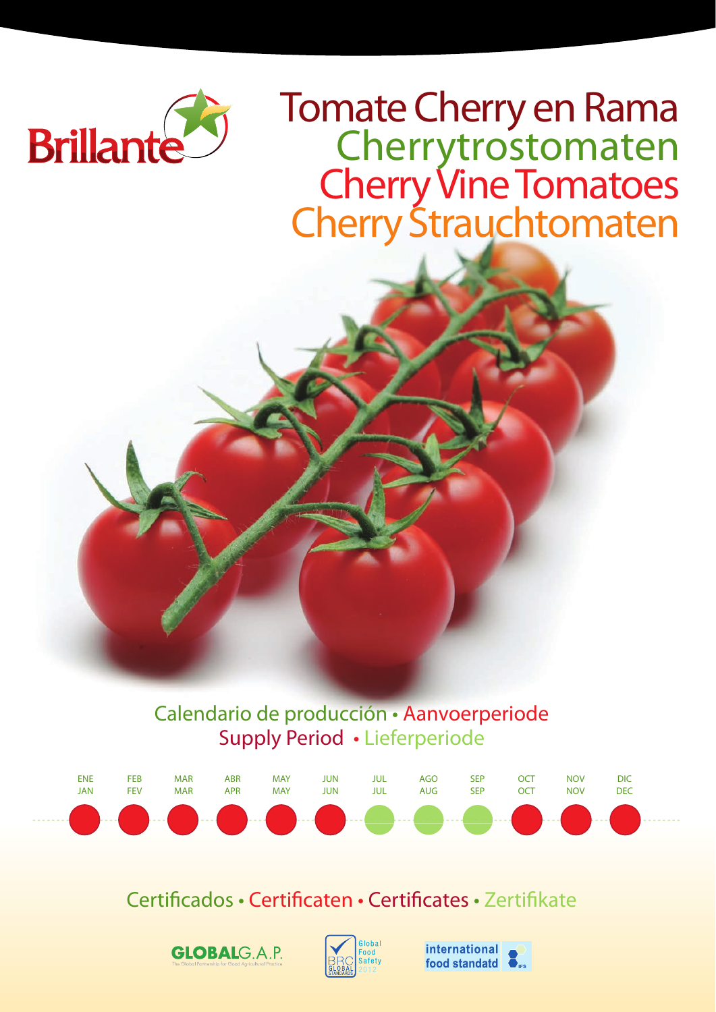

Tomate Cherry en Rama<br>Cherrytrostomaten Cherry Vine Tomatoes Cherry Strauchtomaten

Calendario de producción • Aanvoerperiode Supply Period • Lieferperiode



Certificados • Certificaten • Certificates • Zertifikate